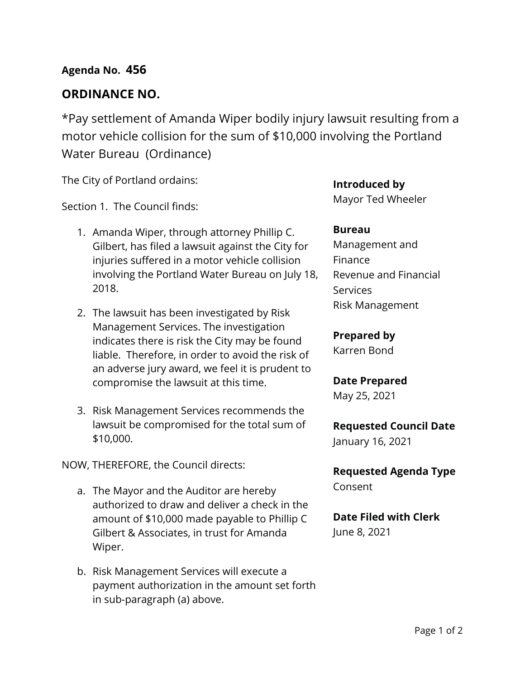## **Agenda No. 456**

## **ORDINANCE NO.**

\*Pay settlement of Amanda Wiper bodily injury lawsuit resulting from a motor vehicle collision for the sum of \$10,000 involving the Portland Water Bureau (Ordinance)

The City of Portland ordains:

Section 1. The Council finds:

- 1. Amanda Wiper, through attorney Phillip C. Gilbert, has filed a lawsuit against the City for injuries suffered in a motor vehicle collision involving the Portland Water Bureau on July 18, 2018.
- 2. The lawsuit has been investigated by Risk Management Services. The investigation indicates there is risk the City may be found liable. Therefore, in order to avoid the risk of an adverse jury award, we feel it is prudent to compromise the lawsuit at this time.
- 3. Risk Management Services recommends the lawsuit be compromised for the total sum of \$10,000.

NOW, THEREFORE, the Council directs:

- a. The Mayor and the Auditor are hereby authorized to draw and deliver a check in the amount of \$10,000 made payable to Phillip C Gilbert & Associates, in trust for Amanda Wiper.
- b. Risk Management Services will execute a payment authorization in the amount set forth in sub-paragraph (a) above.

**Introduced by** Mayor Ted Wheeler

#### **Bureau**

Management and Finance Revenue and Financial **Services** Risk Management

**Prepared by** Karren Bond

**Date Prepared** May 25, 2021

**Requested Council Date** January 16, 2021

**Requested Agenda Type** Consent

**Date Filed with Clerk**  June 8, 2021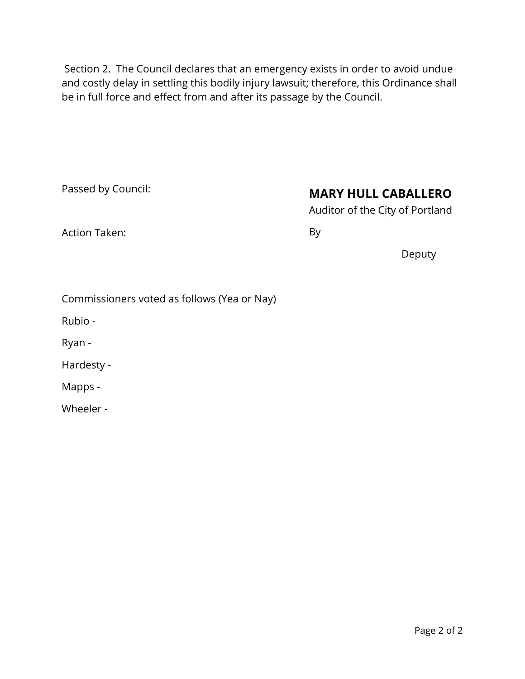Section 2. The Council declares that an emergency exists in order to avoid undue and costly delay in settling this bodily injury lawsuit; therefore, this Ordinance shall be in full force and effect from and after its passage by the Council.

Passed by Council:

# **MARY HULL CABALLERO**

Auditor of the City of Portland

Action Taken:

By

Deputy

|  | Commissioners voted as follows (Yea or Nay) |  |  |  |
|--|---------------------------------------------|--|--|--|
|--|---------------------------------------------|--|--|--|

Rubio -

Ryan -

Hardesty -

Mapps -

Wheeler -